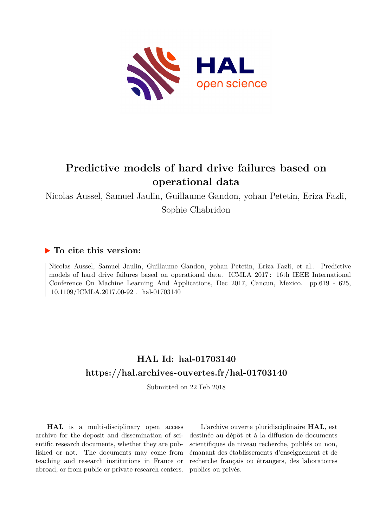

## **Predictive models of hard drive failures based on operational data**

Nicolas Aussel, Samuel Jaulin, Guillaume Gandon, yohan Petetin, Eriza Fazli, Sophie Chabridon

### **To cite this version:**

Nicolas Aussel, Samuel Jaulin, Guillaume Gandon, yohan Petetin, Eriza Fazli, et al.. Predictive models of hard drive failures based on operational data. ICMLA 2017 : 16th IEEE International Conference On Machine Learning And Applications, Dec 2017, Cancun, Mexico. pp.619 - 625,  $10.1109/ICMLA.2017.00-92$  . hal-01703140

## **HAL Id: hal-01703140 <https://hal.archives-ouvertes.fr/hal-01703140>**

Submitted on 22 Feb 2018

**HAL** is a multi-disciplinary open access archive for the deposit and dissemination of scientific research documents, whether they are published or not. The documents may come from teaching and research institutions in France or abroad, or from public or private research centers.

L'archive ouverte pluridisciplinaire **HAL**, est destinée au dépôt et à la diffusion de documents scientifiques de niveau recherche, publiés ou non, émanant des établissements d'enseignement et de recherche français ou étrangers, des laboratoires publics ou privés.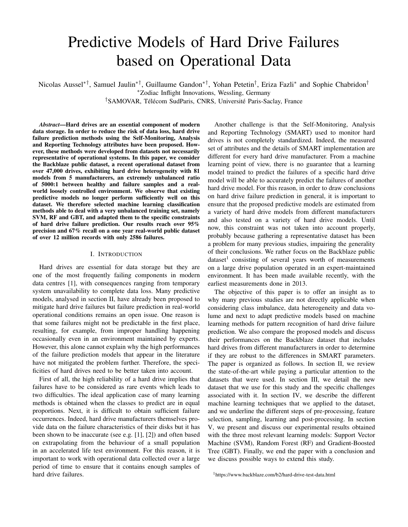# Predictive Models of Hard Drive Failures based on Operational Data

Nicolas Aussel∗†, Samuel Jaulin∗†, Guillaume Gandon∗†, Yohan Petetin† , Eriza Fazli<sup>∗</sup> and Sophie Chabridon† <sup>∗</sup>Zodiac Inflight Innovations, Wessling, Germany <sup>†</sup>SAMOVAR, Télécom SudParis, CNRS, Université Paris-Saclay, France

*Abstract*—Hard drives are an essential component of modern data storage. In order to reduce the risk of data loss, hard drive failure prediction methods using the Self-Monitoring, Analysis and Reporting Technology attributes have been proposed. However, these methods were developed from datasets not necessarily representative of operational systems. In this paper, we consider the Backblaze public dataset, a recent operational dataset from over 47,000 drives, exhibiting hard drive heterogeneity with 81 models from 5 manufacturers, an extremely unbalanced ratio of 5000:1 between healthy and failure samples and a realworld loosely controlled environment. We observe that existing predictive models no longer perform sufficiently well on this dataset. We therefore selected machine learning classification methods able to deal with a very unbalanced training set, namely SVM, RF and GBT, and adapted them to the specific constraints of hard drive failure prediction. Our results reach over 95% precision and 67% recall on a one year real-world public dataset of over 12 million records with only 2586 failures.

#### I. INTRODUCTION

Hard drives are essential for data storage but they are one of the most frequently failing components in modern data centres [1], with consequences ranging from temporary system unavailability to complete data loss. Many predictive models, analysed in section II, have already been proposed to mitigate hard drive failures but failure prediction in real-world operational conditions remains an open issue. One reason is that some failures might not be predictable in the first place, resulting, for example, from improper handling happening occasionally even in an environment maintained by experts. However, this alone cannot explain why the high performances of the failure prediction models that appear in the literature have not mitigated the problem further. Therefore, the specificities of hard drives need to be better taken into account.

First of all, the high reliability of a hard drive implies that failures have to be considered as rare events which leads to two difficulties. The ideal application case of many learning methods is obtained when the classes to predict are in equal proportions. Next, it is difficult to obtain sufficient failure occurrences. Indeed, hard drive manufacturers themselves provide data on the failure characteristics of their disks but it has been shown to be inaccurate (see e.g. [1], [2]) and often based on extrapolating from the behaviour of a small population in an accelerated life test environment. For this reason, it is important to work with operational data collected over a large period of time to ensure that it contains enough samples of hard drive failures.

Another challenge is that the Self-Monitoring, Analysis and Reporting Technology (SMART) used to monitor hard drives is not completely standardized. Indeed, the measured set of attributes and the details of SMART implementation are different for every hard drive manufacturer. From a machine learning point of view, there is no guarantee that a learning model trained to predict the failures of a specific hard drive model will be able to accurately predict the failures of another hard drive model. For this reason, in order to draw conclusions on hard drive failure prediction in general, it is important to ensure that the proposed predictive models are estimated from a variety of hard drive models from different manufacturers and also tested on a variety of hard drive models. Until now, this constraint was not taken into account properly, probably because gathering a representative dataset has been a problem for many previous studies, impairing the generality of their conclusions. We rather focus on the Backblaze public dataset<sup>1</sup> consisting of several years worth of measurements on a large drive population operated in an expert-maintained environment. It has been made available recently, with the earliest measurements done in 2013.

The objective of this paper is to offer an insight as to why many previous studies are not directly applicable when considering class imbalance, data heterogeneity and data volume and next to adapt predictive models based on machine learning methods for pattern recognition of hard drive failure prediction. We also compare the proposed models and discuss their performances on the Backblaze dataset that includes hard drives from different manufacturers in order to determine if they are robust to the differences in SMART parameters. The paper is organized as follows. In section II, we review the state-of-the-art while paying a particular attention to the datasets that were used. In section III, we detail the new dataset that we use for this study and the specific challenges associated with it. In section IV, we describe the different machine learning techniques that we applied to the dataset, and we underline the different steps of pre-processing, feature selection, sampling, learning and post-processing. In section V, we present and discuss our experimental results obtained with the three most relevant learning models: Support Vector Machine (SVM), Random Forest (RF) and Gradient-Boosted Tree (GBT). Finally, we end the paper with a conclusion and we discuss possible ways to extend this study.

<sup>1</sup>https://www.backblaze.com/b2/hard-drive-test-data.html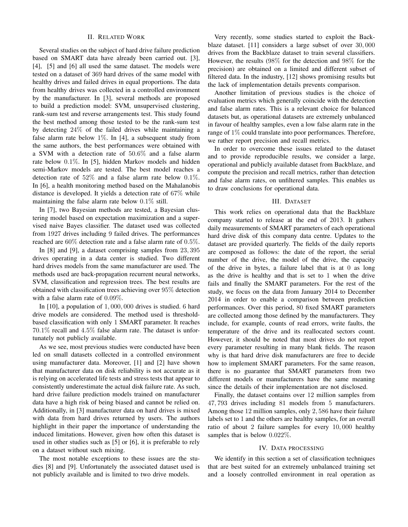#### II. RELATED WORK

Several studies on the subject of hard drive failure prediction based on SMART data have already been carried out. [3], [4], [5] and [6] all used the same dataset. The models were tested on a dataset of 369 hard drives of the same model with healthy drives and failed drives in equal proportions. The data from healthy drives was collected in a controlled environment by the manufacturer. In [3], several methods are proposed to build a prediction model: SVM, unsupervised clustering, rank-sum test and reverse arrangements test. This study found the best method among those tested to be the rank-sum test by detecting 24% of the failed drives while maintaining a false alarm rate below  $1\%$ . In [4], a subsequent study from the same authors, the best performances were obtained with a SVM with a detection rate of 50.6% and a false alarm rate below 0.1%. In [5], hidden Markov models and hidden semi-Markov models are tested. The best model reaches a detection rate of  $52\%$  and a false alarm rate below 0.1%. In [6], a health monitoring method based on the Mahalanobis distance is developed. It yields a detection rate of 67% while maintaining the false alarm rate below 0.1% still.

In [7], two Bayesian methods are tested, a Bayesian clustering model based on expectation maximization and a supervised naive Bayes classifier. The dataset used was collected from 1927 drives including 9 failed drives. The performances reached are 60% detection rate and a false alarm rate of 0.5%.

In [8] and [9], a dataset comprising samples from 23, 395 drives operating in a data center is studied. Two different hard drives models from the same manufacturer are used. The methods used are back-propagation recurrent neural networks, SVM, classification and regression trees. The best results are obtained with classification trees achieving over 95% detection with a false alarm rate of 0.09%.

In [10], a population of 1, 000, 000 drives is studied. 6 hard drive models are considered. The method used is thresholdbased classification with only 1 SMART parameter. It reaches 70.1% recall and 4.5% false alarm rate. The dataset is unfortunately not publicly available.

As we see, most previous studies were conducted have been led on small datasets collected in a controlled environment using manufacturer data. Moreover, [1] and [2] have shown that manufacturer data on disk reliability is not accurate as it is relying on accelerated life tests and stress tests that appear to consistently underestimate the actual disk failure rate. As such, hard drive failure prediction models trained on manufacturer data have a high risk of being biased and cannot be relied on. Additionally, in [3] manufacturer data on hard drives is mixed with data from hard drives returned by users. The authors highlight in their paper the importance of understanding the induced limitations. However, given how often this dataset is used in other studies such as [5] or [6], it is preferable to rely on a dataset without such mixing.

The most notable exceptions to these issues are the studies [8] and [9]. Unfortunately the associated dataset used is not publicly available and is limited to two drive models.

Very recently, some studies started to exploit the Backblaze dataset. [11] considers a large subset of over 30, 000 drives from the Backblaze dataset to train several classifiers. However, the results (98% for the detection and 98% for the precision) are obtained on a limited and different subset of filtered data. In the industry, [12] shows promising results but the lack of implementation details prevents comparison.

Another limitation of previous studies is the choice of evaluation metrics which generally coincide with the detection and false alarm rates. This is a relevant choice for balanced datasets but, as operational datasets are extremely unbalanced in favour of healthy samples, even a low false alarm rate in the range of 1% could translate into poor performances. Therefore, we rather report precision and recall metrics.

In order to overcome these issues related to the dataset and to provide reproducible results, we consider a large, operational and publicly available dataset from Backblaze, and compute the precision and recall metrics, rather than detection and false alarm rates, on unfiltered samples. This enables us to draw conclusions for operational data.

#### III. DATASET

This work relies on operational data that the Backblaze company started to release at the end of 2013. It gathers daily measurements of SMART parameters of each operational hard drive disk of this company data centre. Updates to the dataset are provided quarterly. The fields of the daily reports are composed as follows: the date of the report, the serial number of the drive, the model of the drive, the capacity of the drive in bytes, a failure label that is at 0 as long as the drive is healthy and that is set to 1 when the drive fails and finally the SMART parameters. For the rest of the study, we focus on the data from January 2014 to December 2014 in order to enable a comparison between prediction performances. Over this period, 80 fixed SMART parameters are collected among those defined by the manufacturers. They include, for example, counts of read errors, write faults, the temperature of the drive and its reallocated sectors count. However, it should be noted that most drives do not report every parameter resulting in many blank fields. The reason why is that hard drive disk manufacturers are free to decide how to implement SMART parameters. For the same reason, there is no guarantee that SMART parameters from two different models or manufacturers have the same meaning since the details of their implementation are not disclosed.

Finally, the dataset contains over 12 million samples from 47, 793 drives including 81 models from 5 manufacturers. Among those 12 million samples, only 2, 586 have their failure labels set to 1 and the others are healthy samples, for an overall ratio of about 2 failure samples for every 10, 000 healthy samples that is below 0.022%.

#### IV. DATA PROCESSING

We identify in this section a set of classification techniques that are best suited for an extremely unbalanced training set and a loosely controlled environment in real operation as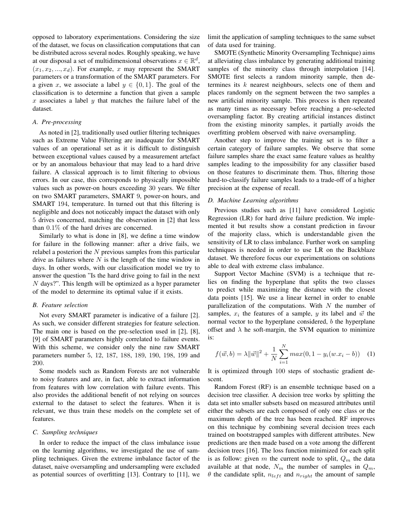opposed to laboratory experimentations. Considering the size of the dataset, we focus on classification computations that can be distributed across several nodes. Roughly speaking, we have at our disposal a set of multidimensional observations  $x \in \mathbb{R}^d$ ,  $(x_1, x_2, ..., x_d)$ . For example, x may represent the SMART parameters or a transformation of the SMART parameters. For a given x, we associate a label  $y \in \{0, 1\}$ . The goal of the classification is to determine a function that given a sample x associates a label  $y$  that matches the failure label of the dataset.

#### *A. Pre-processing*

As noted in [2], traditionally used outlier filtering techniques such as Extreme Value Filtering are inadequate for SMART values of an operational set as it is difficult to distinguish between exceptional values caused by a measurement artefact or by an anomalous behaviour that may lead to a hard drive failure. A classical approach is to limit filtering to obvious errors. In our case, this corresponds to physically impossible values such as power-on hours exceeding 30 years. We filter on two SMART parameters, SMART 9, power-on hours, and SMART 194, temperature. In turned out that this filtering is negligible and does not noticeably impact the dataset with only 5 drives concerned, matching the observation in [2] that less than 0.1% of the hard drives are concerned.

Similarly to what is done in [8], we define a time window for failure in the following manner: after a drive fails, we relabel a posteriori the  $N$  previous samples from this particular drive as failures where  $N$  is the length of the time window in days. In other words, with our classification model we try to answer the question "Is the hard drive going to fail in the next N days?". This length will be optimized as a hyper parameter of the model to determine its optimal value if it exists.

#### *B. Feature selection*

Not every SMART parameter is indicative of a failure [2]. As such, we consider different strategies for feature selection. The main one is based on the pre-selection used in [2], [8], [9] of SMART parameters highly correlated to failure events. With this scheme, we consider only the nine raw SMART parameters number 5, 12, 187, 188, 189, 190, 198, 199 and 200.

Some models such as Random Forests are not vulnerable to noisy features and are, in fact, able to extract information from features with low correlation with failure events. This also provides the additional benefit of not relying on sources external to the dataset to select the features. When it is relevant, we thus train these models on the complete set of features.

#### *C. Sampling techniques*

In order to reduce the impact of the class imbalance issue on the learning algorithms, we investigated the use of sampling techniques. Given the extreme imbalance factor of the dataset, naive oversampling and undersampling were excluded as potential sources of overfitting [13]. Contrary to [11], we limit the application of sampling techniques to the same subset of data used for training.

SMOTE (Synthetic Minority Oversampling Technique) aims at alleviating class imbalance by generating additional training samples of the minority class through interpolation [14]. SMOTE first selects a random minority sample, then determines its k nearest neighbours, selects one of them and places randomly on the segment between the two samples a new artificial minority sample. This process is then repeated as many times as necessary before reaching a pre-selected oversampling factor. By creating artificial instances distinct from the existing minority samples, it partially avoids the overfitting problem observed with naive oversampling.

Another step to improve the training set is to filter a certain category of failure samples. We observe that some failure samples share the exact same feature values as healthy samples leading to the impossibility for any classifier based on those features to discriminate them. Thus, filtering those hard-to-classify failure samples leads to a trade-off of a higher precision at the expense of recall.

#### *D. Machine Learning algorithms*

Previous studies such as [11] have considered Logistic Regression (LR) for hard drive failure prediction. We implemented it but results show a constant prediction in favour of the majority class, which is understandable given the sensitivity of LR to class imbalance. Further work on sampling techniques is needed in order to use LR on the Backblaze dataset. We therefore focus our experimentations on solutions able to deal with extreme class imbalance.

Support Vector Machine (SVM) is a technique that relies on finding the hyperplane that splits the two classes to predict while maximizing the distance with the closest data points [15]. We use a linear kernel in order to enable parallelization of the computations. With  $N$  the number of samples,  $x_i$  the features of a sample, y its label and  $\vec{w}$  the normal vector to the hyperplane considered,  $b$  the hyperplane offset and  $\lambda$  he soft-margin, the SVM equation to minimize is:

$$
f(\vec{w},b) = \lambda ||\vec{w}||^2 + \frac{1}{N} \sum_{i=1}^{N} max(0, 1 - y_i(w.x_i - b))
$$
 (1)

It is optimized through 100 steps of stochastic gradient descent.

Random Forest (RF) is an ensemble technique based on a decision tree classifier. A decision tree works by splitting the data set into smaller subsets based on measured attributes until either the subsets are each composed of only one class or the maximum depth of the tree has been reached. RF improves on this technique by combining several decision trees each trained on bootstrapped samples with different attributes. New predictions are then made based on a vote among the different decision trees [16]. The loss function minimized for each split is as follow: given m the current node to split,  $Q_m$  the data available at that node,  $N_m$  the number of samples in  $Q_m$ ,  $\theta$  the candidate split,  $n_{left}$  and  $n_{right}$  the amount of sample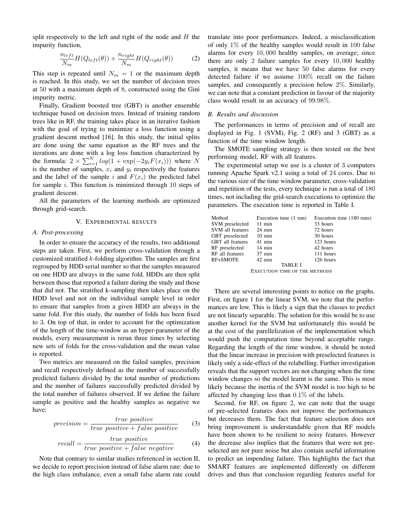split respectively to the left and right of the node and  $H$  the impurity function,

$$
\frac{n_{left}}{N_m}H(Q_{left}(\theta)) + \frac{n_{right}}{N_m}H(Q_{right}(\theta))
$$
 (2)

This step is repeated until  $N_m = 1$  or the maximum depth is reached. In this study, we set the number of decision trees at 50 with a maximum depth of 8, constructed using the Gini impurity metric.

Finally, Gradient boosted tree (GBT) is another ensemble technique based on decision trees. Instead of training random trees like in RF, the training takes place in an iterative fashion with the goal of trying to minimize a loss function using a gradient descent method [16]. In this study, the initial splits are done using the same equation as the RF trees and the iterations are done with a log loss function characterized by the formula:  $2 \times \sum_{i=1}^{N} log(1 + exp(-2y_iF(x_i)))$  where N is the number of samples,  $x_i$  and  $y_i$  respectively the features and the label of the sample i and  $F(x_i)$  the predicted label for sample  $i$ . This function is minimized through 10 steps of gradient descent.

All the parameters of the learning methods are optimized through grid-search.

#### V. EXPERIMENTAL RESULTS

#### *A. Post-processing*

In order to ensure the accuracy of the results, two additional steps are taken. First, we perform cross-validation through a customized stratified  $k$ -folding algorithm. The samples are first regrouped by HDD serial number so that the samples measured on one HDD are always in the same fold. HDDs are then split between those that reported a failure during the study and those that did not. The stratified k-sampling then takes place on the HDD level and not on the individual sample level in order to ensure that samples from a given HDD are always in the same fold. For this study, the number of folds has been fixed to 3. On top of that, in order to account for the optimization of the length of the time-window as an hyper-parameter of the models, every measurement is rerun three times by selecting new sets of folds for the cross-validation and the mean value is reported.

Two metrics are measured on the failed samples, precision and recall respectively defined as the number of successfully predicted failures divided by the total number of predictions and the number of failures successfully predicted divided by the total number of failures observed. If we define the failure sample as positive and the healthy samples as negative we have:

$$
precision = \frac{true \ positive}{true \ positive + false \ positive}
$$
 (3)

$$
recall = \frac{true \ positive}{true \ positive + false \ negative}
$$
 (4)

Note that contrary to similar studies referenced in section II, we decide to report precision instead of false alarm rate: due to the high class imbalance, even a small false alarm rate could translate into poor performances. Indeed, a misclassification of only  $1\%$  of the healthy samples would result in 100 false alarms for every 10, 000 healthy samples, on average; since there are only 2 failure samples for every 10, 000 healthy samples, it means that we have 50 false alarms for every detected failure if we assume 100% recall on the failure samples, and consequently a precision below 2%. Similarly, we can note that a constant prediction in favour of the majority class would result in an accuracy of 99.98%.

#### *B. Results and discussion*

The performances in terms of precision and of recall are displayed in Fig. 1 (SVM), Fig. 2 (RF) and 3 (GBT) as a function of the time window length.

The SMOTE sampling strategy is then tested on the best performing model, RF with all features.

The experimental setup we use is a cluster of 3 computers running Apache Spark v2.1 using a total of 24 cores. Due to the various size of the time window parameter, cross-validation and repetition of the tests, every technique is run a total of 180 times, not including the grid-search executions to optimize the parameters. The execution time is reported in Table I.

| Method                       | Execution time (1 run) | Execution time (180 runs) |
|------------------------------|------------------------|---------------------------|
| SVM preselected              | $11$ min               | 33 hours                  |
| SVM all features             | $24$ min               | 72 hours                  |
| GBT preselected              | $10 \text{ min}$       | 30 hours                  |
| <b>GBT</b> all features      | $41$ min               | 123 hours                 |
| RF preselected               | $14 \text{ min}$       | 42 hours                  |
| RF all features              | $37 \text{ min}$       | 111 hours                 |
| RF+SMOTE                     | $42$ min               | 126 hours                 |
|                              | <b>TABLE I</b>         |                           |
| Evecution the of the methods |                        |                           |

EXECUTION TIME OF THE METHODS

There are several interesting points to notice on the graphs. First, on figure 1 for the linear SVM, we note that the performances are low. This is likely a sign that the classes to predict are not linearly separable. The solution for this would be to use another kernel for the SVM but unfortunately this would be at the cost of the parellelization of the implementation which would push the computation time beyond acceptable range. Regarding the length of the time window, it should be noted that the linear increase in precision with preselected features is likely only a side-effect of the relabelling. Further investigation reveals that the support vectors are not changing when the time window changes so the model learnt is the same. This is most likely because the inertia of the SVM model is too high to be affected by changing less than 0.1% of the labels.

Second, for RF, on figure 2, we can note that the usage of pre-selected features does not improve the performances but decreases them. The fact that feature selection does not bring improvement is understandable given that RF models have been shown to be resilient to noisy features. However the decrease also implies that the features that were not preselected are not pure noise but also contain useful information to predict an impending failure. This highlights the fact that SMART features are implemented differently on different drives and thus that conclusion regarding features useful for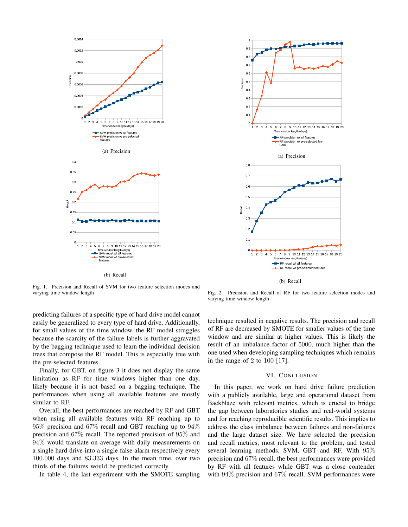



Fig. 1. Precision and Recall of SVM for two feature selection modes and varying time window length

predicting failures of a specific type of hard drive model cannot easily be generalized to every type of hard drive. Additionally, for small values of the time window, the RF model struggles because the scarcity of the failure labels is further aggravated by the bagging technique used to learn the individual decision trees that compose the RF model. This is especially true with the pre-selected features.

Finally, for GBT, on figure 3 it does not display the same limitation as RF for time windows higher than one day, likely because it is not based on a bagging technique. The performances when using all available features are mostly similar to RF.

Overall, the best performances are reached by RF and GBT when using all available features with RF reaching up to 95% precision and 67% recall and GBT reaching up to 94% precision and 67% recall. The reported precision of 95% and 94% would translate on average with daily measurements on a single hard drive into a single false alarm respectively every 100.000 days and 83.333 days. In the mean time, over two thirds of the failures would be predicted correctly.

In table 4, the last experiment with the SMOTE sampling

Fig. 2. Precision and Recall of RF for two feature selection modes and varying time window length

technique resulted in negative results. The precision and recall of RF are decreased by SMOTE for smaller values of the time window and are similar at higher values. This is likely the result of an imbalance factor of 5000, much higher than the one used when developing sampling techniques which remains in the range of 2 to 100 [17].

#### VI. CONCLUSION

In this paper, we work on hard drive failure prediction with a publicly available, large and operational dataset from Backblaze with relevant metrics, which is crucial to bridge the gap between laboratories studies and real-world systems and for reaching reproducible scientific results. This implies to address the class imbalance between failures and non-failures and the large dataset size. We have selected the precision and recall metrics, most relevant to the problem, and tested several learning methods, SVM, GBT and RF. With 95% precision and 67% recall, the best performances were provided by RF with all features while GBT was a close contender with 94% precision and 67% recall. SVM performances were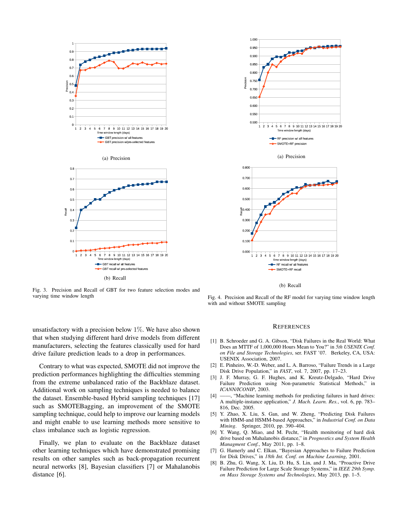

Fig. 3. Precision and Recall of GBT for two feature selection modes and varying time window length

unsatisfactory with a precision below  $1\%$ . We have also shown that when studying different hard drive models from different manufacturers, selecting the features classically used for hard drive failure prediction leads to a drop in performances.

Contrary to what was expected, SMOTE did not improve the prediction performances highlighting the difficulties stemming from the extreme unbalanced ratio of the Backblaze dataset. Additional work on sampling techniques is needed to balance the dataset. Ensemble-based Hybrid sampling techniques [17] such as SMOTEBagging, an improvement of the SMOTE sampling technique, could help to improve our learning models and might enable to use learning methods more sensitive to class imbalance such as logistic regression.

Finally, we plan to evaluate on the Backblaze dataset other learning techniques which have demonstrated promising results on other samples such as back-propagation recurrent neural networks [8], Bayesian classifiers [7] or Mahalanobis distance [6].



Fig. 4. Precision and Recall of the RF model for varying time window length with and without SMOTE sampling

#### **REFERENCES**

- [1] B. Schroeder and G. A. Gibson, "Disk Failures in the Real World: What Does an MTTF of 1,000,000 Hours Mean to You?" in *5th USENIX Conf. on File and Storage Technologies*, ser. FAST '07. Berkeley, CA, USA: USENIX Association, 2007.
- [2] E. Pinheiro, W.-D. Weber, and L. A. Barroso, "Failure Trends in a Large Disk Drive Population," in *FAST*, vol. 7, 2007, pp. 17–23.
- [3] J. F. Murray, G. F. Hughes, and K. Kreutz-Delgado, "Hard Drive Failure Prediction using Non-parametric Statistical Methods," in *ICANN/ICONIP*, 2003.
- [4] ——, "Machine learning methods for predicting failures in hard drives: A multiple-instance application," *J. Mach. Learn. Res.*, vol. 6, pp. 783– 816, Dec. 2005.
- [5] Y. Zhao, X. Liu, S. Gan, and W. Zheng, "Predicting Disk Failures with HMM-and HSMM-based Approaches," in *Industrial Conf. on Data Mining*. Springer, 2010, pp. 390–404.
- [6] Y. Wang, Q. Miao, and M. Pecht, "Health monitoring of hard disk drive based on Mahalanobis distance," in *Prognostics and System Health Managment Conf.*, May 2011, pp. 1–8.
- [7] G. Hamerly and C. Elkan, "Bayesian Approaches to Failure Prediction for Disk Drives," in *18th Int. Conf. on Machine Learning*, 2001.
- [8] B. Zhu, G. Wang, X. Liu, D. Hu, S. Lin, and J. Ma, "Proactive Drive Failure Prediction for Large Scale Storage Systems," in *IEEE 29th Symp. on Mass Storage Systems and Technologies*, May 2013, pp. 1–5.